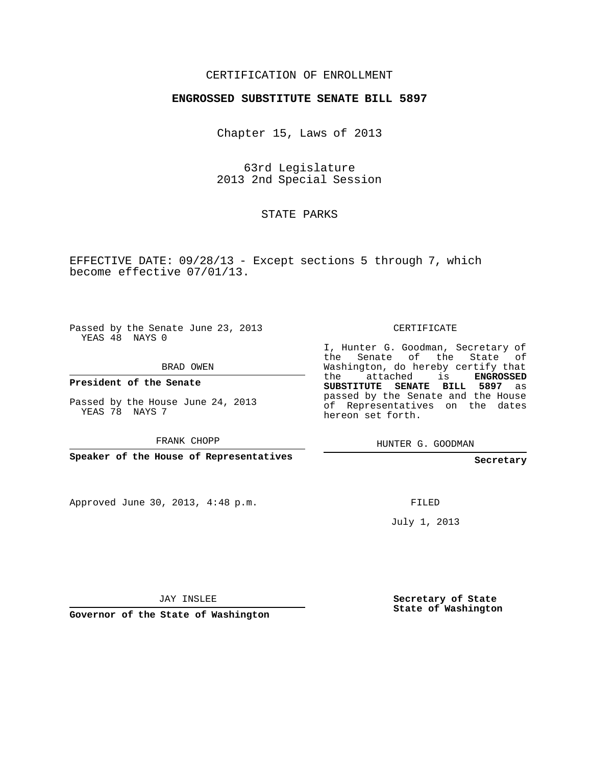## CERTIFICATION OF ENROLLMENT

## **ENGROSSED SUBSTITUTE SENATE BILL 5897**

Chapter 15, Laws of 2013

63rd Legislature 2013 2nd Special Session

STATE PARKS

EFFECTIVE DATE: 09/28/13 - Except sections 5 through 7, which become effective 07/01/13.

Passed by the Senate June 23, 2013 YEAS 48 NAYS 0

BRAD OWEN

**President of the Senate**

Passed by the House June 24, 2013 YEAS 78 NAYS 7

FRANK CHOPP

**Speaker of the House of Representatives**

Approved June 30, 2013, 4:48 p.m.

CERTIFICATE

I, Hunter G. Goodman, Secretary of the Senate of the State of Washington, do hereby certify that the attached is **ENGROSSED SUBSTITUTE SENATE BILL 5897** as passed by the Senate and the House of Representatives on the dates hereon set forth.

HUNTER G. GOODMAN

**Secretary**

FILED

July 1, 2013

JAY INSLEE

**Governor of the State of Washington**

**Secretary of State State of Washington**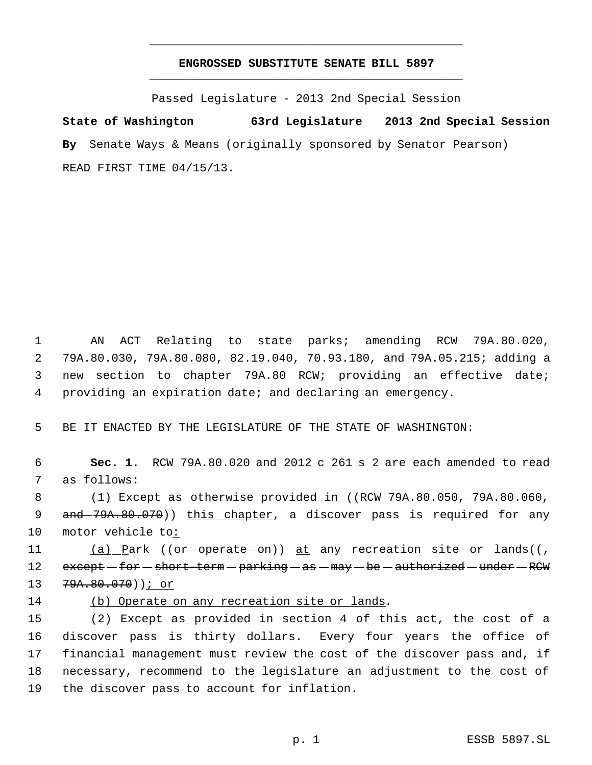## **ENGROSSED SUBSTITUTE SENATE BILL 5897** \_\_\_\_\_\_\_\_\_\_\_\_\_\_\_\_\_\_\_\_\_\_\_\_\_\_\_\_\_\_\_\_\_\_\_\_\_\_\_\_\_\_\_\_\_

\_\_\_\_\_\_\_\_\_\_\_\_\_\_\_\_\_\_\_\_\_\_\_\_\_\_\_\_\_\_\_\_\_\_\_\_\_\_\_\_\_\_\_\_\_

Passed Legislature - 2013 2nd Special Session

**State of Washington 63rd Legislature 2013 2nd Special Session By** Senate Ways & Means (originally sponsored by Senator Pearson) READ FIRST TIME 04/15/13.

 AN ACT Relating to state parks; amending RCW 79A.80.020, 79A.80.030, 79A.80.080, 82.19.040, 70.93.180, and 79A.05.215; adding a new section to chapter 79A.80 RCW; providing an effective date; providing an expiration date; and declaring an emergency.

5 BE IT ENACTED BY THE LEGISLATURE OF THE STATE OF WASHINGTON:

 6 **Sec. 1.** RCW 79A.80.020 and 2012 c 261 s 2 are each amended to read 7 as follows:

8 (1) Except as otherwise provided in ((RCW 79A.80.050, 79A.80.060, 9 and -79A.80.070)) this chapter, a discover pass is required for any 10 motor vehicle to:

11 (a) Park (( $e^+$ - $o^+$  $o^+$  $o^+$  $o^+$ )) at any recreation site or lands(( $\tau$ 12 except -for -short-term - parking - as - may - be - authorized - under - RCW 13 79A.80.070))<u>; or</u>

14 (b) Operate on any recreation site or lands.

15 (2) Except as provided in section 4 of this act, the cost of a discover pass is thirty dollars. Every four years the office of financial management must review the cost of the discover pass and, if necessary, recommend to the legislature an adjustment to the cost of the discover pass to account for inflation.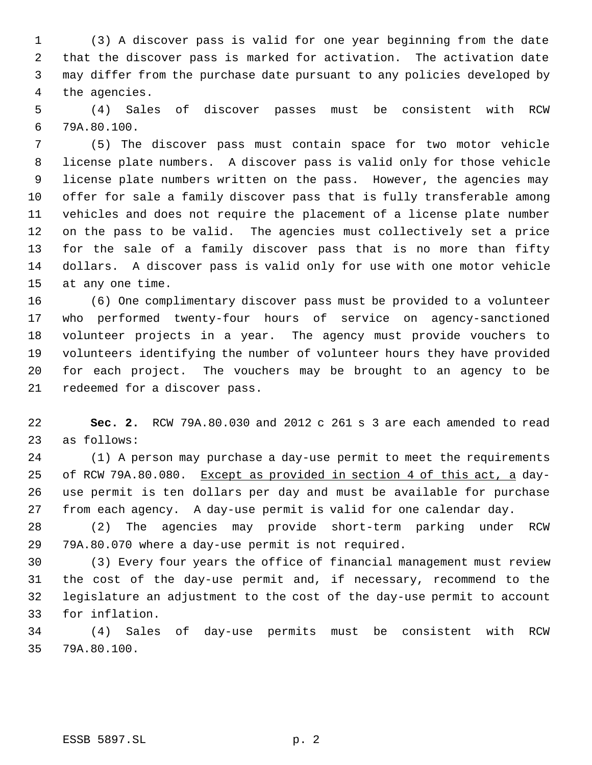(3) A discover pass is valid for one year beginning from the date that the discover pass is marked for activation. The activation date may differ from the purchase date pursuant to any policies developed by the agencies.

 (4) Sales of discover passes must be consistent with RCW 79A.80.100.

 (5) The discover pass must contain space for two motor vehicle license plate numbers. A discover pass is valid only for those vehicle license plate numbers written on the pass. However, the agencies may offer for sale a family discover pass that is fully transferable among vehicles and does not require the placement of a license plate number on the pass to be valid. The agencies must collectively set a price for the sale of a family discover pass that is no more than fifty dollars. A discover pass is valid only for use with one motor vehicle at any one time.

 (6) One complimentary discover pass must be provided to a volunteer who performed twenty-four hours of service on agency-sanctioned volunteer projects in a year. The agency must provide vouchers to volunteers identifying the number of volunteer hours they have provided for each project. The vouchers may be brought to an agency to be redeemed for a discover pass.

 **Sec. 2.** RCW 79A.80.030 and 2012 c 261 s 3 are each amended to read as follows:

 (1) A person may purchase a day-use permit to meet the requirements of RCW 79A.80.080. Except as provided in section 4 of this act, a day- use permit is ten dollars per day and must be available for purchase from each agency. A day-use permit is valid for one calendar day.

 (2) The agencies may provide short-term parking under RCW 79A.80.070 where a day-use permit is not required.

 (3) Every four years the office of financial management must review the cost of the day-use permit and, if necessary, recommend to the legislature an adjustment to the cost of the day-use permit to account for inflation.

 (4) Sales of day-use permits must be consistent with RCW 79A.80.100.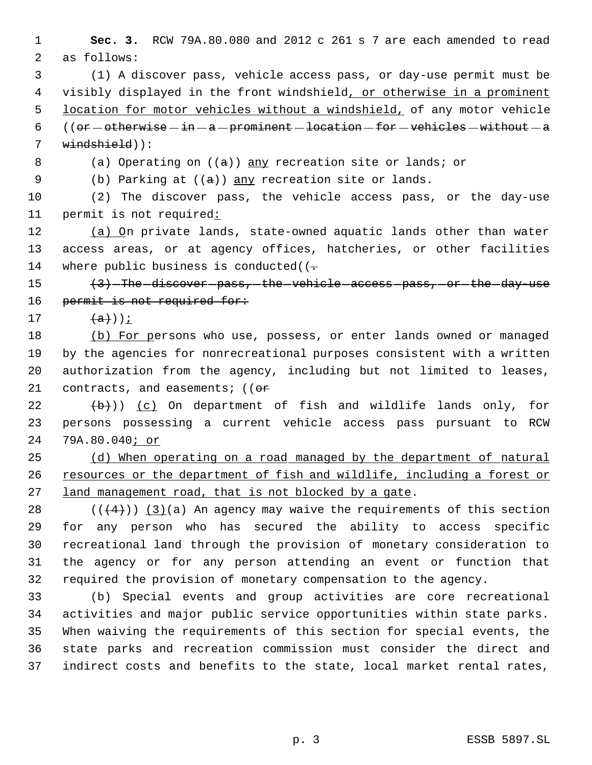**Sec. 3.** RCW 79A.80.080 and 2012 c 261 s 7 are each amended to read as follows:

 (1) A discover pass, vehicle access pass, or day-use permit must be visibly displayed in the front windshield, or otherwise in a prominent location for motor vehicles without a windshield, of any motor vehicle 6 ((or  $-$  otherwise  $-$  in  $-$  a  $-$  prominent  $-$  location  $-$  for  $-$  vehicles  $-$  without  $-$  a windshield)):

8 (a) Operating on  $((a))$  any recreation site or lands; or

9 (b) Parking at  $((a))$  any recreation site or lands.

 (2) The discover pass, the vehicle access pass, or the day-use permit is not required:

12 (a) On private lands, state-owned aquatic lands other than water access areas, or at agency offices, hatcheries, or other facilities 14 where public business is conducted( $(-$ 

15  $\left(3\right)$  -The discover pass, the vehicle access pass, or the day use 16 permit is not required for:

17  $\left(\frac{a}{b}\right)$ );

18 (b) For persons who use, possess, or enter lands owned or managed by the agencies for nonrecreational purposes consistent with a written authorization from the agency, including but not limited to leases, 21 contracts, and easements;  $(6r)$ 

  $(\frac{b}{b})$ ) (c) On department of fish and wildlife lands only, for persons possessing a current vehicle access pass pursuant to RCW 79A.80.040; or

 (d) When operating on a road managed by the department of natural 26 resources or the department of fish and wildlife, including a forest or 27 land management road, that is not blocked by a gate.

 $((+4))$   $(3)(a)$  An agency may waive the requirements of this section for any person who has secured the ability to access specific recreational land through the provision of monetary consideration to the agency or for any person attending an event or function that required the provision of monetary compensation to the agency.

 (b) Special events and group activities are core recreational activities and major public service opportunities within state parks. When waiving the requirements of this section for special events, the state parks and recreation commission must consider the direct and indirect costs and benefits to the state, local market rental rates,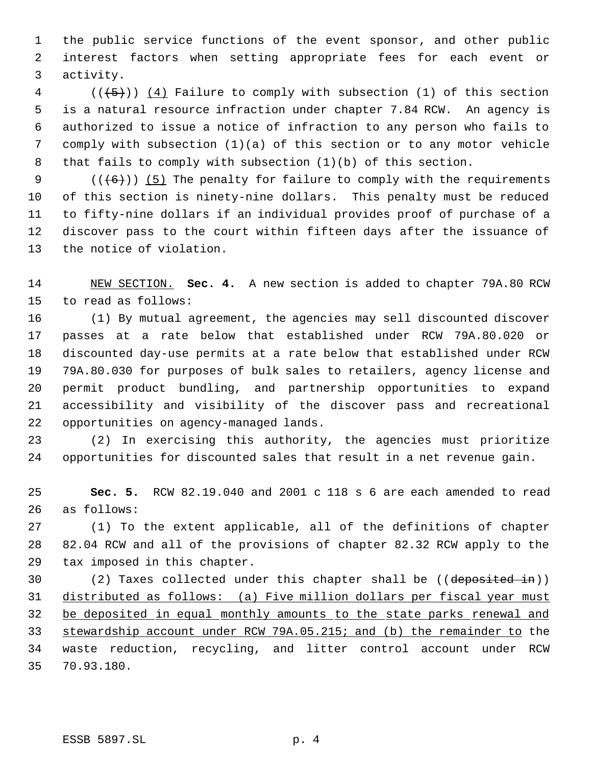the public service functions of the event sponsor, and other public interest factors when setting appropriate fees for each event or activity.

 (( $\overline{+5}$ )) (4) Failure to comply with subsection (1) of this section is a natural resource infraction under chapter 7.84 RCW. An agency is authorized to issue a notice of infraction to any person who fails to comply with subsection (1)(a) of this section or to any motor vehicle that fails to comply with subsection (1)(b) of this section.

 $((+6))$  (5) The penalty for failure to comply with the requirements of this section is ninety-nine dollars. This penalty must be reduced to fifty-nine dollars if an individual provides proof of purchase of a discover pass to the court within fifteen days after the issuance of the notice of violation.

 NEW SECTION. **Sec. 4.** A new section is added to chapter 79A.80 RCW to read as follows:

 (1) By mutual agreement, the agencies may sell discounted discover passes at a rate below that established under RCW 79A.80.020 or discounted day-use permits at a rate below that established under RCW 79A.80.030 for purposes of bulk sales to retailers, agency license and permit product bundling, and partnership opportunities to expand accessibility and visibility of the discover pass and recreational opportunities on agency-managed lands.

 (2) In exercising this authority, the agencies must prioritize opportunities for discounted sales that result in a net revenue gain.

 **Sec. 5.** RCW 82.19.040 and 2001 c 118 s 6 are each amended to read as follows:

 (1) To the extent applicable, all of the definitions of chapter 82.04 RCW and all of the provisions of chapter 82.32 RCW apply to the tax imposed in this chapter.

 (2) Taxes collected under this chapter shall be ((deposited in)) distributed as follows: (a) Five million dollars per fiscal year must be deposited in equal monthly amounts to the state parks renewal and 33 stewardship account under RCW 79A.05.215; and (b) the remainder to the waste reduction, recycling, and litter control account under RCW 70.93.180.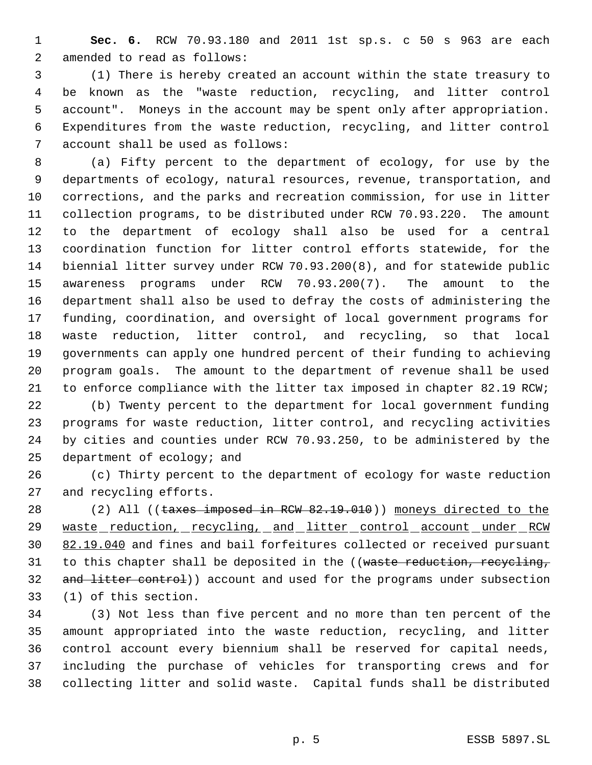**Sec. 6.** RCW 70.93.180 and 2011 1st sp.s. c 50 s 963 are each amended to read as follows:

 (1) There is hereby created an account within the state treasury to be known as the "waste reduction, recycling, and litter control account". Moneys in the account may be spent only after appropriation. Expenditures from the waste reduction, recycling, and litter control account shall be used as follows:

 (a) Fifty percent to the department of ecology, for use by the departments of ecology, natural resources, revenue, transportation, and corrections, and the parks and recreation commission, for use in litter collection programs, to be distributed under RCW 70.93.220. The amount to the department of ecology shall also be used for a central coordination function for litter control efforts statewide, for the biennial litter survey under RCW 70.93.200(8), and for statewide public awareness programs under RCW 70.93.200(7). The amount to the department shall also be used to defray the costs of administering the funding, coordination, and oversight of local government programs for waste reduction, litter control, and recycling, so that local governments can apply one hundred percent of their funding to achieving program goals. The amount to the department of revenue shall be used to enforce compliance with the litter tax imposed in chapter 82.19 RCW;

 (b) Twenty percent to the department for local government funding programs for waste reduction, litter control, and recycling activities by cities and counties under RCW 70.93.250, to be administered by the department of ecology; and

 (c) Thirty percent to the department of ecology for waste reduction and recycling efforts.

28 (2) All ((taxes imposed in RCW 82.19.010)) moneys directed to the 29 waste reduction, recycling, and litter control account under RCW 30 82.19.040 and fines and bail forfeitures collected or received pursuant 31 to this chapter shall be deposited in the ((waste reduction, recycling, 32 and litter control)) account and used for the programs under subsection (1) of this section.

 (3) Not less than five percent and no more than ten percent of the amount appropriated into the waste reduction, recycling, and litter control account every biennium shall be reserved for capital needs, including the purchase of vehicles for transporting crews and for collecting litter and solid waste. Capital funds shall be distributed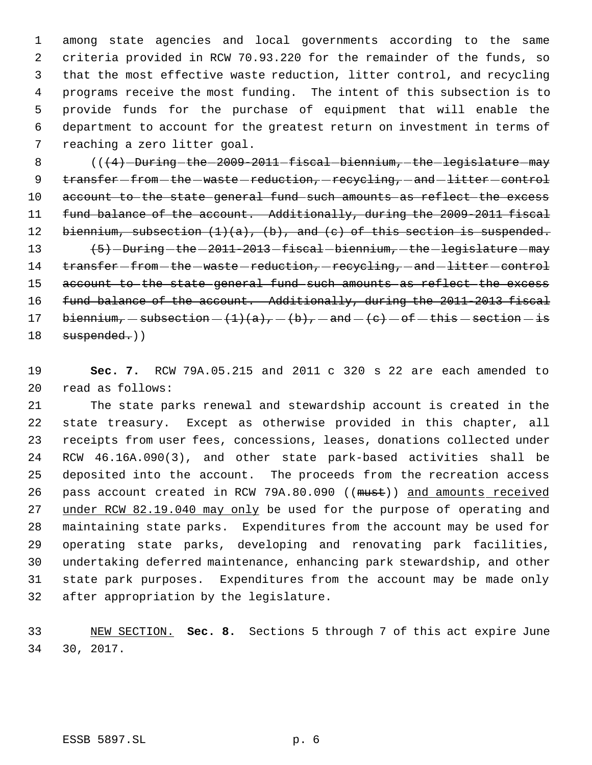among state agencies and local governments according to the same criteria provided in RCW 70.93.220 for the remainder of the funds, so that the most effective waste reduction, litter control, and recycling programs receive the most funding. The intent of this subsection is to provide funds for the purchase of equipment that will enable the department to account for the greatest return on investment in terms of reaching a zero litter goal.

 $($   $($   $($   $\{$   $\}$   $)$  -During the  $-2009$   $-2011$   $-$  fiscal  $-$  biennium,  $-$  the  $-$  legislature  $-$  may 9 transfer - from - the - waste - reduction, - recycling, - and - litter - control 10 account to the state general fund such amounts as reflect the excess fund balance of the account. Additionally, during the 2009-2011 fiscal 12 biennium, subsection  $(1)(a)$ ,  $(b)$ , and  $(c)$  of this section is suspended. 13 (5) During - the - 2011-2013 - fiscal - biennium, - the - legislature - may 14 transfer-from-the-waste-reduction, recycling, and litter-control account to the state general fund such amounts as reflect the excess 16 fund balance of the account. Additionally, during the 2011-2013 fiscal 17 biennium,  $-$  subsection  $-$  (1)(a),  $-$  (b),  $-$  and  $-$  (c)  $-$  of  $-$  this  $-$  section  $-$  is

18 suspended.))

 **Sec. 7.** RCW 79A.05.215 and 2011 c 320 s 22 are each amended to read as follows:

 The state parks renewal and stewardship account is created in the state treasury. Except as otherwise provided in this chapter, all receipts from user fees, concessions, leases, donations collected under RCW 46.16A.090(3), and other state park-based activities shall be deposited into the account. The proceeds from the recreation access 26 pass account created in RCW 79A.80.090 ((must)) and amounts received 27 under RCW 82.19.040 may only be used for the purpose of operating and maintaining state parks. Expenditures from the account may be used for operating state parks, developing and renovating park facilities, undertaking deferred maintenance, enhancing park stewardship, and other state park purposes. Expenditures from the account may be made only after appropriation by the legislature.

 NEW SECTION. **Sec. 8.** Sections 5 through 7 of this act expire June 30, 2017.